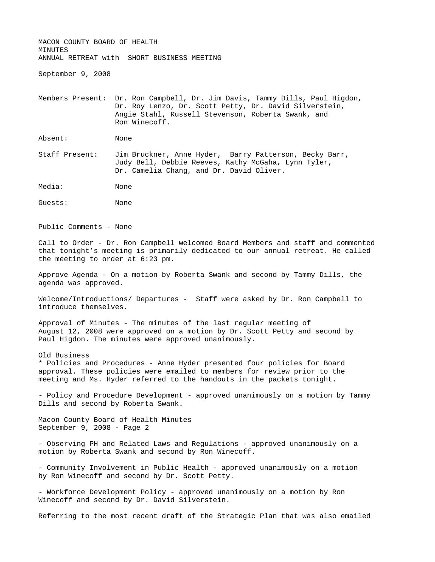MACON COUNTY BOARD OF HEALTH **MINUTES** ANNUAL RETREAT with SHORT BUSINESS MEETING

September 9, 2008

Members Present: Dr. Ron Campbell, Dr. Jim Davis, Tammy Dills, Paul Higdon, Dr. Roy Lenzo, Dr. Scott Petty, Dr. David Silverstein, Angie Stahl, Russell Stevenson, Roberta Swank, and Ron Winecoff.

Absent: None

Staff Present: Jim Bruckner, Anne Hyder, Barry Patterson, Becky Barr, Judy Bell, Debbie Reeves, Kathy McGaha, Lynn Tyler, Dr. Camelia Chang, and Dr. David Oliver.

Media: None

Guests: None

Public Comments - None

Call to Order - Dr. Ron Campbell welcomed Board Members and staff and commented that tonight's meeting is primarily dedicated to our annual retreat. He called the meeting to order at 6:23 pm.

Approve Agenda - On a motion by Roberta Swank and second by Tammy Dills, the agenda was approved.

Welcome/Introductions/ Departures - Staff were asked by Dr. Ron Campbell to introduce themselves.

Approval of Minutes - The minutes of the last regular meeting of August 12, 2008 were approved on a motion by Dr. Scott Petty and second by Paul Higdon. The minutes were approved unanimously.

Old Business \* Policies and Procedures - Anne Hyder presented four policies for Board approval. These policies were emailed to members for review prior to the meeting and Ms. Hyder referred to the handouts in the packets tonight.

- Policy and Procedure Development - approved unanimously on a motion by Tammy Dills and second by Roberta Swank.

Macon County Board of Health Minutes September 9, 2008 - Page 2

- Observing PH and Related Laws and Regulations - approved unanimously on a motion by Roberta Swank and second by Ron Winecoff.

- Community Involvement in Public Health - approved unanimously on a motion by Ron Winecoff and second by Dr. Scott Petty.

- Workforce Development Policy - approved unanimously on a motion by Ron Winecoff and second by Dr. David Silverstein.

Referring to the most recent draft of the Strategic Plan that was also emailed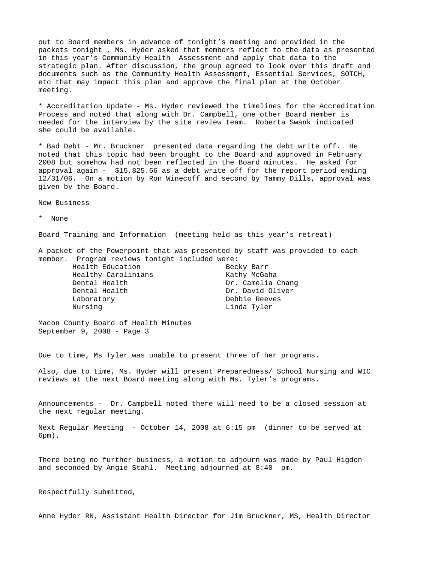out to Board members in advance of tonight's meeting and provided in the packets tonight , Ms. Hyder asked that members reflect to the data as presented in this year's Community Health Assessment and apply that data to the strategic plan. After discussion, the group agreed to look over this draft and documents such as the Community Health Assessment, Essential Services, SOTCH, etc that may impact this plan and approve the final plan at the October meeting.

\* Accreditation Update - Ms. Hyder reviewed the timelines for the Accreditation Process and noted that along with Dr. Campbell, one other Board member is needed for the interview by the site review team. Roberta Swank indicated she could be available.

\* Bad Debt - Mr. Bruckner presented data regarding the debt write off. He noted that this topic had been brought to the Board and approved in February 2008 but somehow had not been reflected in the Board minutes. He asked for approval again - \$15,825.66 as a debt write off for the report period ending 12/31/06. On a motion by Ron Winecoff and second by Tammy Dills, approval was given by the Board.

New Business

\* None

Board Training and Information (meeting held as this year's retreat)

A packet of the Powerpoint that was presented by staff was provided to each member. Program reviews tonight included were:

> Health Education **Becky Barr** Healthy Carolinians The Kathy McGaha Dental Health Dr. David Oliver Laboratory Debbie Reeves Nursing **Linda Tyler**

Dental Health Dr. Camelia Chang

Macon County Board of Health Minutes September 9, 2008 - Page 3

Due to time, Ms Tyler was unable to present three of her programs.

Also, due to time, Ms. Hyder will present Preparedness/ School Nursing and WIC reviews at the next Board meeting along with Ms. Tyler's programs.

Announcements - Dr. Campbell noted there will need to be a closed session at the next regular meeting.

Next Regular Meeting - October 14, 2008 at 6:15 pm (dinner to be served at 6pm).

There being no further business, a motion to adjourn was made by Paul Higdon and seconded by Angie Stahl. Meeting adjourned at 8:40 pm.

Respectfully submitted,

Anne Hyder RN, Assistant Health Director for Jim Bruckner, MS, Health Director